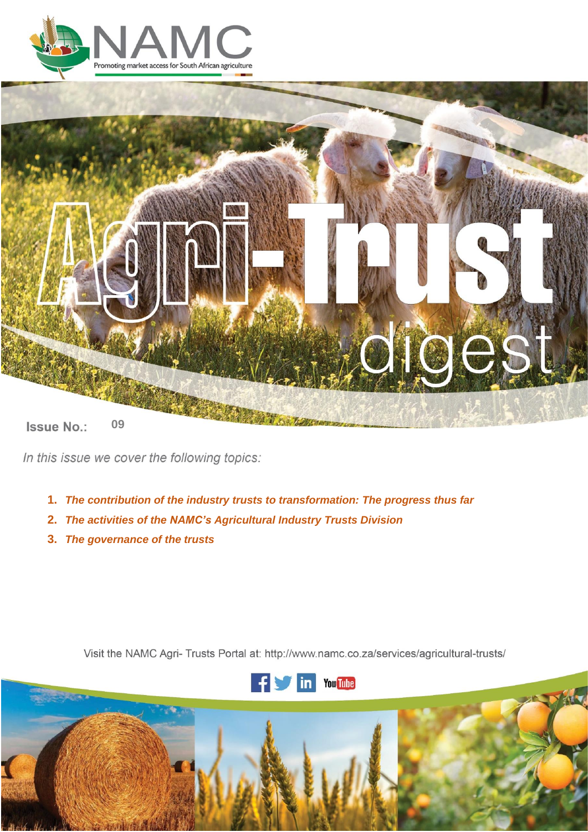



**Issue No.: 06 09**

In this issue we cover the following topics:

- **1.** *The contribution of the industry trusts to transformation: The progress thus far*
- **2.** *The activities of the NAMC's Agricultural Industry Trusts Division*
- **3.** *The governance of the trusts*

Visit the NAMC Agri- Trusts Portal at: http://www.namc.co.za/services/agricultural-trusts/



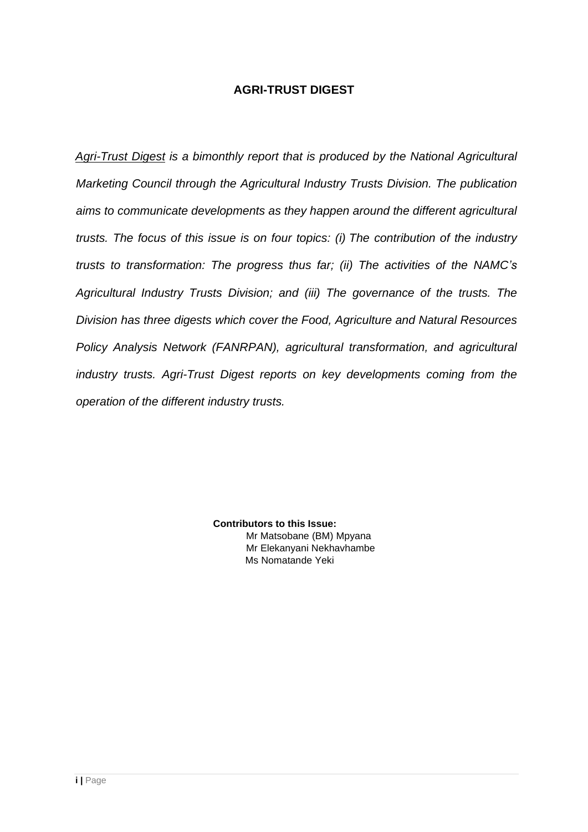# **AGRI-TRUST DIGEST**

*Agri-Trust Digest is a bimonthly report that is produced by the National Agricultural Marketing Council through the Agricultural Industry Trusts Division. The publication aims to communicate developments as they happen around the different agricultural trusts. The focus of this issue is on four topics: (i) The contribution of the industry trusts to transformation: The progress thus far; (ii) The activities of the NAMC's Agricultural Industry Trusts Division; and (iii) The governance of the trusts. The Division has three digests which cover the Food, Agriculture and Natural Resources Policy Analysis Network (FANRPAN), agricultural transformation, and agricultural industry trusts. Agri-Trust Digest reports on key developments coming from the operation of the different industry trusts.*

> **Contributors to this Issue:**  Mr Matsobane (BM) Mpyana Mr Elekanyani Nekhavhambe Ms Nomatande Yeki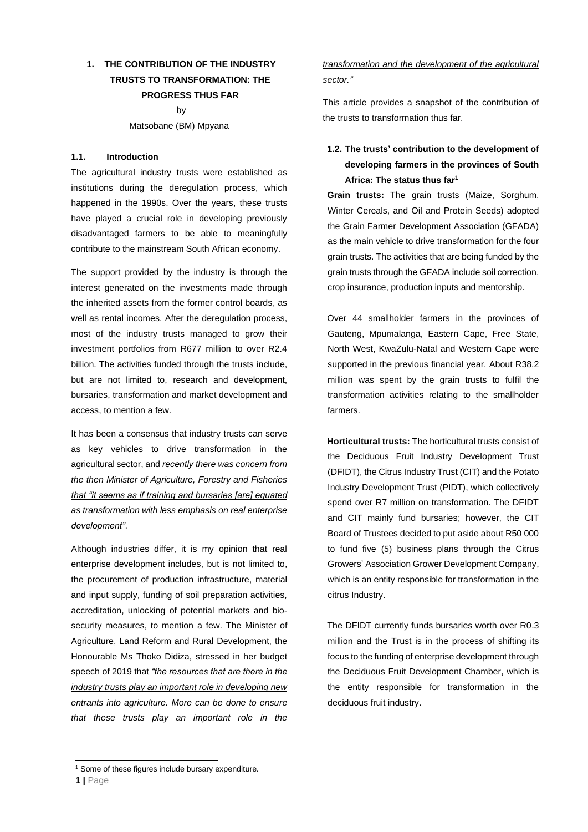# **1. THE CONTRIBUTION OF THE INDUSTRY TRUSTS TO TRANSFORMATION: THE PROGRESS THUS FAR**

by Matsobane (BM) Mpyana

### **1.1. Introduction**

The agricultural industry trusts were established as institutions during the deregulation process, which happened in the 1990s. Over the years, these trusts have played a crucial role in developing previously disadvantaged farmers to be able to meaningfully contribute to the mainstream South African economy.

The support provided by the industry is through the interest generated on the investments made through the inherited assets from the former control boards, as well as rental incomes. After the deregulation process, most of the industry trusts managed to grow their investment portfolios from R677 million to over R2.4 billion. The activities funded through the trusts include, but are not limited to, research and development, bursaries, transformation and market development and access, to mention a few.

It has been a consensus that industry trusts can serve as key vehicles to drive transformation in the agricultural sector, and *recently there was concern from the then Minister of Agriculture, Forestry and Fisheries that "it seems as if training and bursaries [are] equated as transformation with less emphasis on real enterprise development"*.

Although industries differ, it is my opinion that real enterprise development includes, but is not limited to, the procurement of production infrastructure, material and input supply, funding of soil preparation activities, accreditation, unlocking of potential markets and biosecurity measures, to mention a few. The Minister of Agriculture, Land Reform and Rural Development, the Honourable Ms Thoko Didiza, stressed in her budget speech of 2019 that *"the resources that are there in the industry trusts play an important role in developing new entrants into agriculture. More can be done to ensure that these trusts play an important role in the* 

# *transformation and the development of the agricultural sector."*

This article provides a snapshot of the contribution of the trusts to transformation thus far.

# **1.2. The trusts' contribution to the development of developing farmers in the provinces of South Africa: The status thus far<sup>1</sup>**

**Grain trusts:** The grain trusts (Maize, Sorghum, Winter Cereals, and Oil and Protein Seeds) adopted the Grain Farmer Development Association (GFADA) as the main vehicle to drive transformation for the four grain trusts. The activities that are being funded by the grain trusts through the GFADA include soil correction, crop insurance, production inputs and mentorship.

Over 44 smallholder farmers in the provinces of Gauteng, Mpumalanga, Eastern Cape, Free State, North West, KwaZulu-Natal and Western Cape were supported in the previous financial year. About R38,2 million was spent by the grain trusts to fulfil the transformation activities relating to the smallholder farmers.

**Horticultural trusts:** The horticultural trusts consist of the Deciduous Fruit Industry Development Trust (DFIDT), the Citrus Industry Trust (CIT) and the Potato Industry Development Trust (PIDT), which collectively spend over R7 million on transformation. The DFIDT and CIT mainly fund bursaries; however, the CIT Board of Trustees decided to put aside about R50 000 to fund five (5) business plans through the Citrus Growers' Association Grower Development Company, which is an entity responsible for transformation in the citrus Industry.

The DFIDT currently funds bursaries worth over R0.3 million and the Trust is in the process of shifting its focus to the funding of enterprise development through the Deciduous Fruit Development Chamber, which is the entity responsible for transformation in the deciduous fruit industry.

<sup>&</sup>lt;sup>1</sup> Some of these figures include bursary expenditure.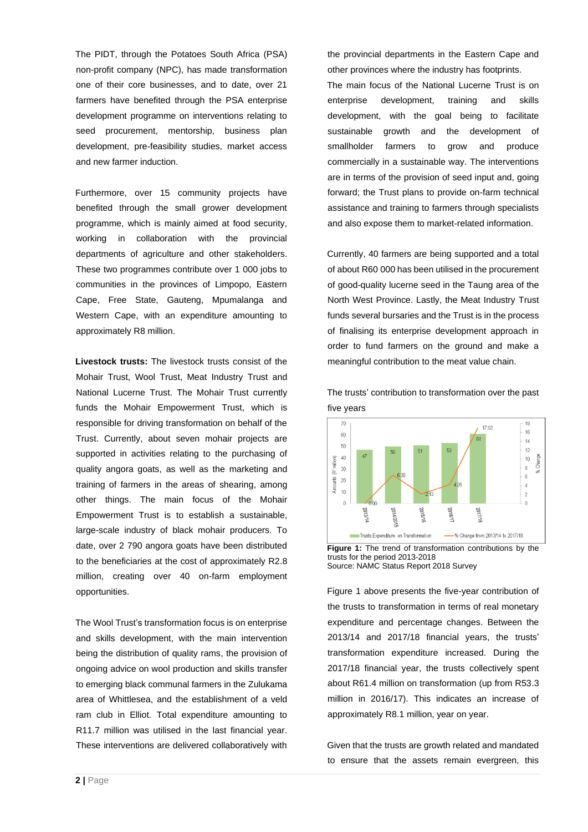The PIDT, through the Potatoes South Africa (PSA) non-profit company (NPC), has made transformation one of their core businesses, and to date, over 21 farmers have benefited through the PSA enterprise development programme on interventions relating to seed procurement, mentorship, business plan development, pre-feasibility studies, market access and new farmer induction.

Furthermore, over 15 community projects have benefited through the small grower development programme, which is mainly aimed at food security, working in collaboration with the provincial departments of agriculture and other stakeholders. These two programmes contribute over 1 000 jobs to communities in the provinces of Limpopo, Eastern Cape, Free State, Gauteng, Mpumalanga and Western Cape, with an expenditure amounting to approximately R8 million.

**Livestock trusts:** The livestock trusts consist of the Mohair Trust, Wool Trust, Meat Industry Trust and National Lucerne Trust. The Mohair Trust currently funds the Mohair Empowerment Trust, which is responsible for driving transformation on behalf of the Trust. Currently, about seven mohair projects are supported in activities relating to the purchasing of quality angora goats, as well as the marketing and training of farmers in the areas of shearing, among other things. The main focus of the Mohair Empowerment Trust is to establish a sustainable, large-scale industry of black mohair producers. To date, over 2 790 angora goats have been distributed to the beneficiaries at the cost of approximately R2.8 million, creating over 40 on-farm employment opportunities.

The Wool Trust's transformation focus is on enterprise and skills development, with the main intervention being the distribution of quality rams, the provision of ongoing advice on wool production and skills transfer to emerging black communal farmers in the Zulukama area of Whittlesea, and the establishment of a veld ram club in Elliot. Total expenditure amounting to R11.7 million was utilised in the last financial year. These interventions are delivered collaboratively with

the provincial departments in the Eastern Cape and other provinces where the industry has footprints.

The main focus of the National Lucerne Trust is on enterprise development, training and skills development, with the goal being to facilitate sustainable growth and the development of smallholder farmers to grow and produce commercially in a sustainable way. The interventions are in terms of the provision of seed input and, going forward; the Trust plans to provide on-farm technical assistance and training to farmers through specialists and also expose them to market-related information.

Currently, 40 farmers are being supported and a total of about R60 000 has been utilised in the procurement of good-quality lucerne seed in the Taung area of the North West Province. Lastly, the Meat Industry Trust funds several bursaries and the Trust is in the process of finalising its enterprise development approach in order to fund farmers on the ground and make a meaningful contribution to the meat value chain.



The trusts' contribution to transformation over the past five years

**Figure 1:** The trend of transformation contributions by the trusts for the period 2013-2018 Source: NAMC Status Report 2018 Survey

Figure 1 above presents the five-year contribution of the trusts to transformation in terms of real monetary expenditure and percentage changes. Between the 2013/14 and 2017/18 financial years, the trusts' transformation expenditure increased. During the 2017/18 financial year, the trusts collectively spent about R61.4 million on transformation (up from R53.3 million in 2016/17). This indicates an increase of approximately R8.1 million, year on year.

Given that the trusts are growth related and mandated to ensure that the assets remain evergreen, this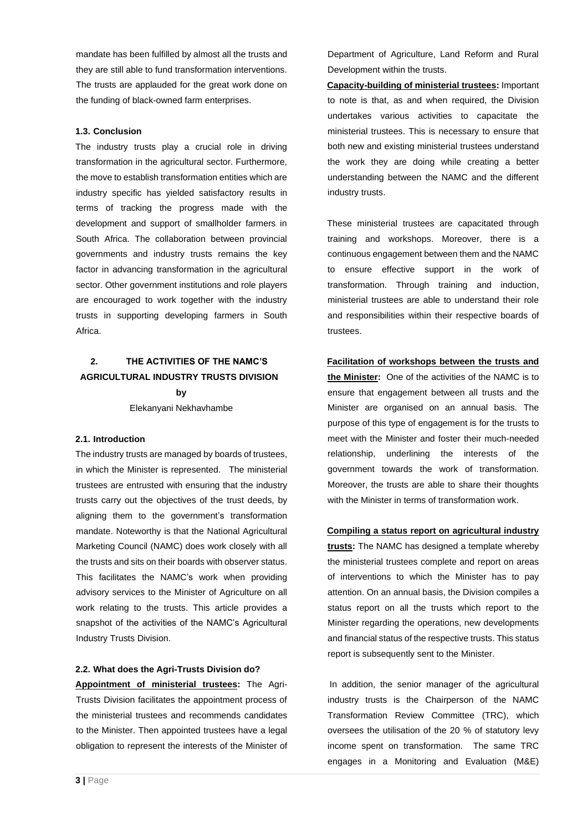mandate has been fulfilled by almost all the trusts and they are still able to fund transformation interventions. The trusts are applauded for the great work done on the funding of black-owned farm enterprises.

### **1.3. Conclusion**

The industry trusts play a crucial role in driving transformation in the agricultural sector. Furthermore, the move to establish transformation entities which are industry specific has yielded satisfactory results in terms of tracking the progress made with the development and support of smallholder farmers in South Africa. The collaboration between provincial governments and industry trusts remains the key factor in advancing transformation in the agricultural sector. Other government institutions and role players are encouraged to work together with the industry trusts in supporting developing farmers in South Africa.

# **2. THE ACTIVITIES OF THE NAMC'S AGRICULTURAL INDUSTRY TRUSTS DIVISION by**

Elekanyani Nekhavhambe

#### **2.1. Introduction**

The industry trusts are managed by boards of trustees, in which the Minister is represented. The ministerial trustees are entrusted with ensuring that the industry trusts carry out the objectives of the trust deeds, by aligning them to the government's transformation mandate. Noteworthy is that the National Agricultural Marketing Council (NAMC) does work closely with all the trusts and sits on their boards with observer status. This facilitates the NAMC's work when providing advisory services to the Minister of Agriculture on all work relating to the trusts. This article provides a snapshot of the activities of the NAMC's Agricultural Industry Trusts Division.

#### **2.2. What does the Agri-Trusts Division do?**

**Appointment of ministerial trustees:** The Agri-Trusts Division facilitates the appointment process of the ministerial trustees and recommends candidates to the Minister. Then appointed trustees have a legal obligation to represent the interests of the Minister of

Department of Agriculture, Land Reform and Rural Development within the trusts.

**Capacity-building of ministerial trustees:** Important to note is that, as and when required, the Division undertakes various activities to capacitate the ministerial trustees. This is necessary to ensure that both new and existing ministerial trustees understand the work they are doing while creating a better understanding between the NAMC and the different industry trusts.

These ministerial trustees are capacitated through training and workshops. Moreover, there is a continuous engagement between them and the NAMC to ensure effective support in the work of transformation. Through training and induction, ministerial trustees are able to understand their role and responsibilities within their respective boards of trustees.

#### **Facilitation of workshops between the trusts and**

**the Minister:** One of the activities of the NAMC is to ensure that engagement between all trusts and the Minister are organised on an annual basis. The purpose of this type of engagement is for the trusts to meet with the Minister and foster their much-needed relationship, underlining the interests of the government towards the work of transformation. Moreover, the trusts are able to share their thoughts with the Minister in terms of transformation work.

#### **Compiling a status report on agricultural industry**

**trusts:** The NAMC has designed a template whereby the ministerial trustees complete and report on areas of interventions to which the Minister has to pay attention. On an annual basis, the Division compiles a status report on all the trusts which report to the Minister regarding the operations, new developments and financial status of the respective trusts. This status report is subsequently sent to the Minister.

In addition, the senior manager of the agricultural industry trusts is the Chairperson of the NAMC Transformation Review Committee (TRC), which oversees the utilisation of the 20 % of statutory levy income spent on transformation. The same TRC engages in a Monitoring and Evaluation (M&E)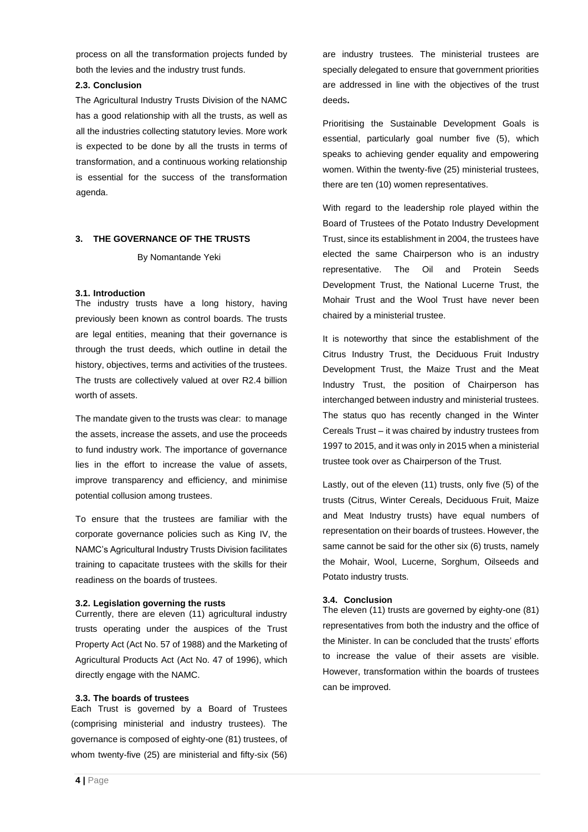process on all the transformation projects funded by both the levies and the industry trust funds.

### **2.3. Conclusion**

The Agricultural Industry Trusts Division of the NAMC has a good relationship with all the trusts, as well as all the industries collecting statutory levies. More work is expected to be done by all the trusts in terms of transformation, and a continuous working relationship is essential for the success of the transformation agenda.

## **3. THE GOVERNANCE OF THE TRUSTS**

By Nomantande Yeki

### **3.1. Introduction**

The industry trusts have a long history, having previously been known as control boards. The trusts are legal entities, meaning that their governance is through the trust deeds, which outline in detail the history, objectives, terms and activities of the trustees. The trusts are collectively valued at over R2.4 billion worth of assets.

The mandate given to the trusts was clear: to manage the assets, increase the assets, and use the proceeds to fund industry work. The importance of governance lies in the effort to increase the value of assets, improve transparency and efficiency, and minimise potential collusion among trustees.

To ensure that the trustees are familiar with the corporate governance policies such as King IV, the NAMC's Agricultural Industry Trusts Division facilitates training to capacitate trustees with the skills for their readiness on the boards of trustees.

### **3.2. Legislation governing the rusts**

Currently, there are eleven (11) agricultural industry trusts operating under the auspices of the Trust Property Act (Act No. 57 of 1988) and the Marketing of Agricultural Products Act (Act No. 47 of 1996), which directly engage with the NAMC.

## **3.3. The boards of trustees**

Each Trust is governed by a Board of Trustees (comprising ministerial and industry trustees). The governance is composed of eighty-one (81) trustees, of whom twenty-five (25) are ministerial and fifty-six (56)

are industry trustees. The ministerial trustees are specially delegated to ensure that government priorities are addressed in line with the objectives of the trust deeds**.**

Prioritising the Sustainable Development Goals is essential, particularly goal number five (5), which speaks to achieving gender equality and empowering women. Within the twenty-five (25) ministerial trustees, there are ten (10) women representatives.

With regard to the leadership role played within the Board of Trustees of the Potato Industry Development Trust, since its establishment in 2004, the trustees have elected the same Chairperson who is an industry representative. The Oil and Protein Seeds Development Trust, the National Lucerne Trust, the Mohair Trust and the Wool Trust have never been chaired by a ministerial trustee.

It is noteworthy that since the establishment of the Citrus Industry Trust, the Deciduous Fruit Industry Development Trust, the Maize Trust and the Meat Industry Trust, the position of Chairperson has interchanged between industry and ministerial trustees. The status quo has recently changed in the Winter Cereals Trust – it was chaired by industry trustees from 1997 to 2015, and it was only in 2015 when a ministerial trustee took over as Chairperson of the Trust.

Lastly, out of the eleven (11) trusts, only five (5) of the trusts (Citrus, Winter Cereals, Deciduous Fruit, Maize and Meat Industry trusts) have equal numbers of representation on their boards of trustees. However, the same cannot be said for the other six (6) trusts, namely the Mohair, Wool, Lucerne, Sorghum, Oilseeds and Potato industry trusts.

## **3.4. Conclusion**

The eleven (11) trusts are governed by eighty-one (81) representatives from both the industry and the office of the Minister. In can be concluded that the trusts' efforts to increase the value of their assets are visible. However, transformation within the boards of trustees can be improved.